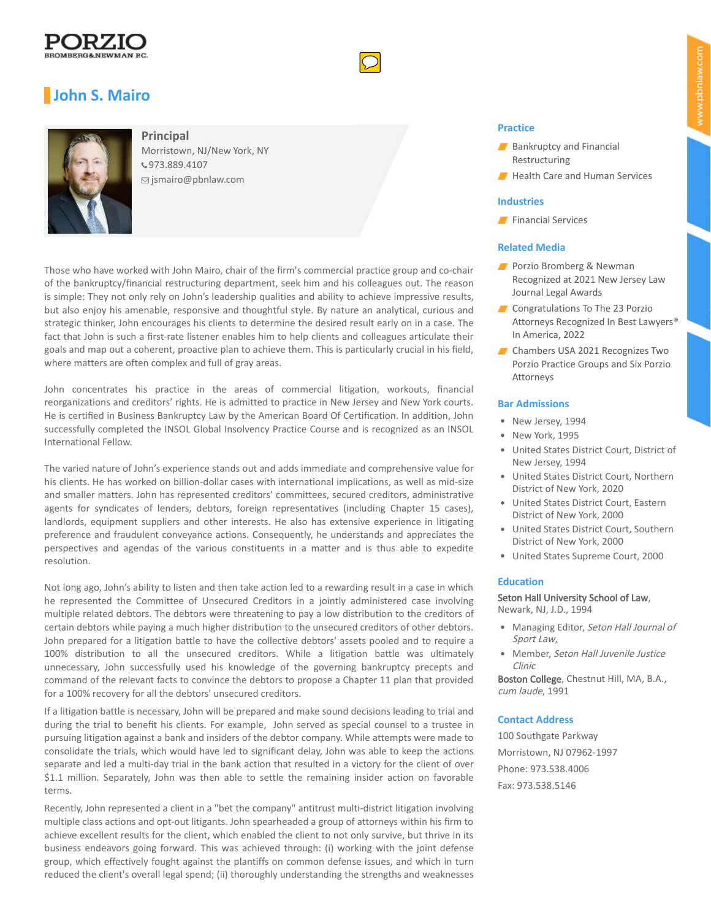





**Principal** Morristown, NJ/New York, NY [973.889.4107](tel:973.889.4107)  [jsmairo@pbnlaw.com](mailto:jsmairo@pbnlaw.com)

Those who have worked with John Mairo, chair of the firm's commercial practice group and co-chair of the bankruptcy/financial restructuring department, seek him and his colleagues out. The reason is simple: They not only rely on John's leadership qualities and ability to achieve impressive results, but also enjoy his amenable, responsive and thoughtful style. By nature an analytical, curious and strategic thinker, John encourages his clients to determine the desired result early on in a case. The fact that John is such a first-rate listener enables him to help clients and colleagues articulate their goals and map out a coherent, proactive plan to achieve them. This is particularly crucial in his field, where matters are often complex and full of gray areas.

John concentrates his practice in the areas of commercial litigation, workouts, financial reorganizations and creditors' rights. He is admitted to practice in New Jersey and New York courts. He is certified in Business Bankruptcy Law by the American Board Of Certification. In addition, John successfully completed the INSOL Global Insolvency Practice Course and is recognized as an INSOL International Fellow.

The varied nature of John's experience stands out and adds immediate and comprehensive value for his clients. He has worked on billion-dollar cases with international implications, as well as mid-size and smaller matters. John has represented creditors' committees, secured creditors, administrative agents for syndicates of lenders, debtors, foreign representatives (including Chapter 15 cases), landlords, equipment suppliers and other interests. He also has extensive experience in litigating preference and fraudulent conveyance actions. Consequently, he understands and appreciates the perspectives and agendas of the various constituents in a matter and is thus able to expedite resolution.

Not long ago, John's ability to listen and then take action led to a rewarding result in a case in which he represented the Committee of Unsecured Creditors in a jointly administered case involving multiple related debtors. The debtors were threatening to pay a low distribution to the creditors of certain debtors while paying a much higher distribution to the unsecured creditors of other debtors. John prepared for a litigation battle to have the collective debtors' assets pooled and to require a 100% distribution to all the unsecured creditors. While a litigation battle was ultimately unnecessary, John successfully used his knowledge of the governing bankruptcy precepts and command of the relevant facts to convince the debtors to propose a Chapter 11 plan that provided for a 100% recovery for all the debtors' unsecured creditors.

If a litigation battle is necessary, John will be prepared and make sound decisions leading to trial and during the trial to benefit his clients. For example, John served as special counsel to a trustee in pursuing litigation against a bank and insiders of the debtor company. While attempts were made to consolidate the trials, which would have led to significant delay, John was able to keep the actions separate and led a multi-day trial in the bank action that resulted in a victory for the client of over \$1.1 million. Separately, John was then able to settle the remaining insider action on favorable terms.

Recently, John represented a client in a "bet the company" antitrust multi-district litigation involving multiple class actions and opt-out litigants. John spearheaded a group of attorneys within his firm to achieve excellent results for the client, which enabled the client to not only survive, but thrive in its business endeavors going forward. This was achieved through: (i) working with the joint defense group, which effectively fought against the plantiffs on common defense issues, and which in turn reduced the client's overall legal spend; (ii) thoroughly understanding the strengths and weaknesses

## **Practice**

- [Bankruptcy and Financial](https://pbnlaw.com/practices/bankruptcy-and-financial-restructuring/) Restructuring
- [Health Care and Human Services](https://pbnlaw.com/practices/health-care-and-human-services/)

### **Industries**

**[Financial Services](https://pbnlaw.com/industries/financial-services/)** 

# **Related Media**

- **Porzio Bromberg & Newman** [Recognized at 2021 New Jersey Law](https://pbnlaw.com/media-and-events/news/2021/09/porzio-bromberg-and-newman-recognized-at-2021-new-jersey-law-journal-legal-awards/) Journal Legal Awards
- Congratulations To The 23 Porzio [Attorneys Recognized In Best Lawyers®](https://pbnlaw.com/media-and-events/news/2021/08/congratulations-to-the-23-porzio-attorneys-recognized-in-best-lawyers-in-america-2022/) In America, 2022
- Chambers USA 2021 Recognizes Two [Porzio Practice Groups and Six Porzio](https://pbnlaw.com/media-and-events/news/2021/05/chambers-usa-2021-recognizes-two-porzio-practice-groups-and-six-porzio-attorneys/) Attorneys

## **Bar Admissions**

- New Jersey, 1994
- New York, 1995
- United States District Court, District of New Jersey, 1994
- United States District Court, Northern District of New York, 2020
- United States District Court, Eastern District of New York, 2000
- United States District Court, Southern District of New York, 2000
- United States Supreme Court, 2000

## **Education**

Seton Hall University School of Law, Newark, NJ, J.D., 1994

- Managing Editor, Seton Hall Journal of Sport Law,
- Member, Seton Hall Juvenile Justice Clinic

Boston College, Chestnut Hill, MA, B.A., cum laude, 1991

#### **Contact Address**

100 Southgate Parkway Morristown, NJ 07962-1997 Phone: 973.538.4006 Fax: 973.538.5146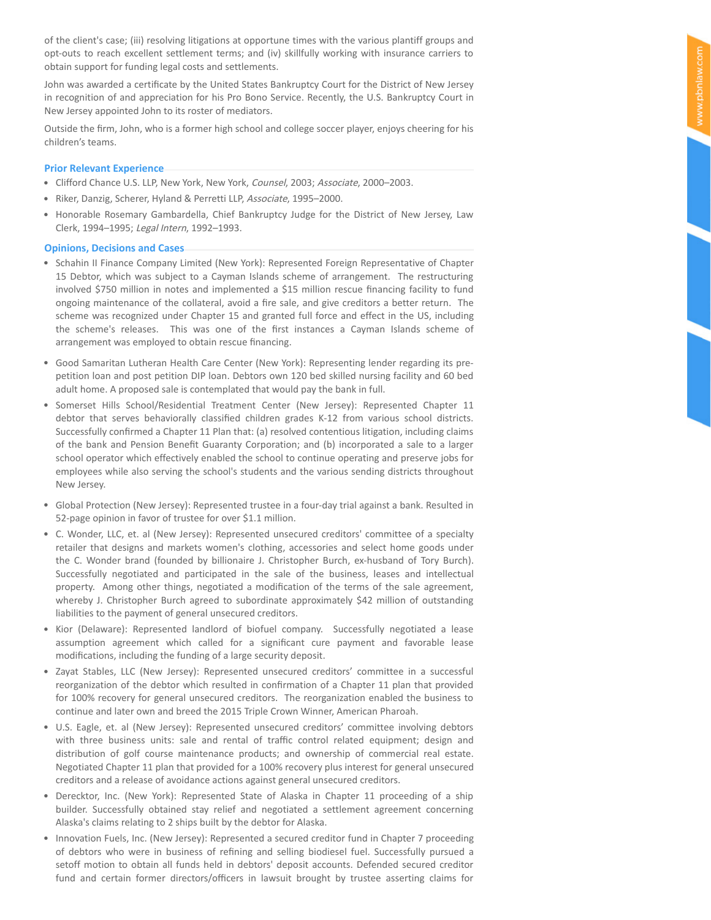of the client's case; (iii) resolving litigations at opportune times with the various plantiff groups and opt-outs to reach excellent settlement terms; and (iv) skillfully working with insurance carriers to obtain support for funding legal costs and settlements.

John was awarded a certificate by the United States Bankruptcy Court for the District of New Jersey in recognition of and appreciation for his Pro Bono Service. Recently, the U.S. Bankruptcy Court in New Jersey appointed John to its roster of mediators.

Outside the firm, John, who is a former high school and college soccer player, enjoys cheering for his children's teams.

### **Prior Relevant Experience**

- Clifford Chance U.S. LLP, New York, New York, Counsel, 2003; Associate, 2000–2003.
- Riker, Danzig, Scherer, Hyland & Perretti LLP, Associate, 1995–2000.
- Honorable Rosemary Gambardella, Chief Bankruptcy Judge for the District of New Jersey, Law Clerk, 1994–1995; Legal Intern, 1992–1993.

### **Opinions, Decisions and Cases**

- Schahin II Finance Company Limited (New York): Represented Foreign Representative of Chapter 15 Debtor, which was subject to a Cayman Islands scheme of arrangement. The restructuring involved \$750 million in notes and implemented a \$15 million rescue financing facility to fund ongoing maintenance of the collateral, avoid a fire sale, and give creditors a better return. The scheme was recognized under Chapter 15 and granted full force and effect in the US, including the scheme's releases. This was one of the first instances a Cayman Islands scheme of arrangement was employed to obtain rescue financing.
- Good Samaritan Lutheran Health Care Center (New York): Representing lender regarding its prepetition loan and post petition DIP loan. Debtors own 120 bed skilled nursing facility and 60 bed adult home. A proposed sale is contemplated that would pay the bank in full.
- Somerset Hills School/Residential Treatment Center (New Jersey): Represented Chapter 11 debtor that serves behaviorally classified children grades K-12 from various school districts. Successfully confirmed a Chapter 11 Plan that: (a) resolved contentious litigation, including claims of the bank and Pension Benefit Guaranty Corporation; and (b) incorporated a sale to a larger school operator which effectively enabled the school to continue operating and preserve jobs for employees while also serving the school's students and the various sending districts throughout New Jersey.
- Global Protection (New Jersey): Represented trustee in a four-day trial against a bank. Resulted in 52-page opinion in favor of trustee for over \$1.1 million.
- C. Wonder, LLC, et. al (New Jersey): Represented unsecured creditors' committee of a specialty retailer that designs and markets women's clothing, accessories and select home goods under the C. Wonder brand (founded by billionaire J. Christopher Burch, ex-husband of Tory Burch). Successfully negotiated and participated in the sale of the business, leases and intellectual property. Among other things, negotiated a modification of the terms of the sale agreement, whereby J. Christopher Burch agreed to subordinate approximately \$42 million of outstanding liabilities to the payment of general unsecured creditors.
- Kior (Delaware): Represented landlord of biofuel company. Successfully negotiated a lease assumption agreement which called for a significant cure payment and favorable lease modifications, including the funding of a large security deposit.
- Zayat Stables, LLC (New Jersey): Represented unsecured creditors' committee in a successful reorganization of the debtor which resulted in confirmation of a Chapter 11 plan that provided for 100% recovery for general unsecured creditors. The reorganization enabled the business to continue and later own and breed the 2015 Triple Crown Winner, American Pharoah.
- U.S. Eagle, et. al (New Jersey): Represented unsecured creditors' committee involving debtors with three business units: sale and rental of traffic control related equipment; design and distribution of golf course maintenance products; and ownership of commercial real estate. Negotiated Chapter 11 plan that provided for a 100% recovery plus interest for general unsecured creditors and a release of avoidance actions against general unsecured creditors.
- Derecktor, Inc. (New York): Represented State of Alaska in Chapter 11 proceeding of a ship builder. Successfully obtained stay relief and negotiated a settlement agreement concerning Alaska's claims relating to 2 ships built by the debtor for Alaska.
- Innovation Fuels, Inc. (New Jersey): Represented a secured creditor fund in Chapter 7 proceeding of debtors who were in business of refining and selling biodiesel fuel. Successfully pursued a setoff motion to obtain all funds held in debtors' deposit accounts. Defended secured creditor fund and certain former directors/officers in lawsuit brought by trustee asserting claims for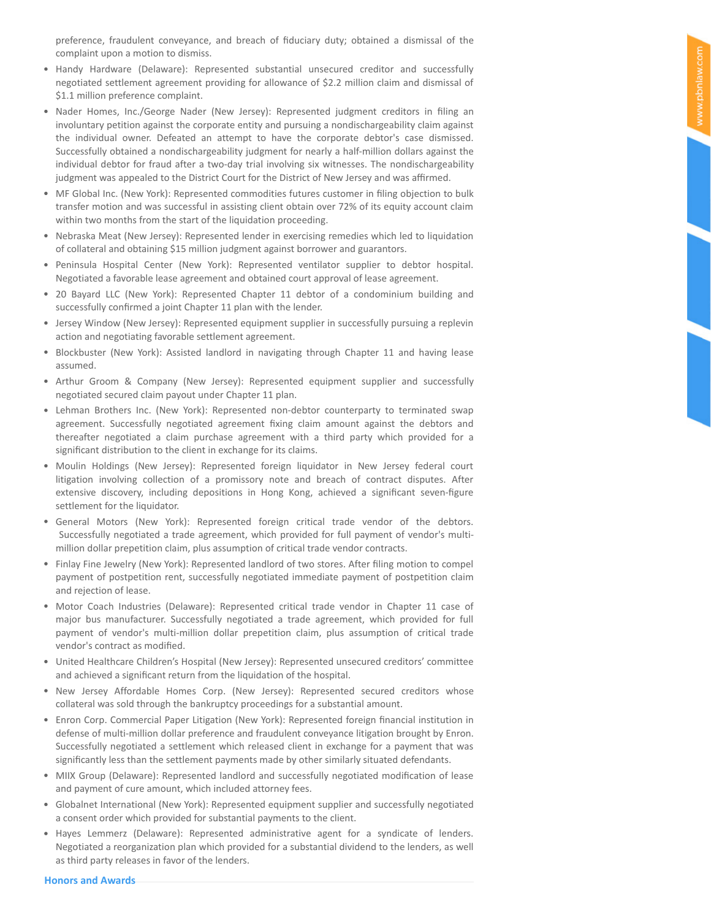- Handy Hardware (Delaware): Represented substantial unsecured creditor and successfully negotiated settlement agreement providing for allowance of \$2.2 million claim and dismissal of \$1.1 million preference complaint.
- Nader Homes, Inc./George Nader (New Jersey): Represented judgment creditors in filing an involuntary petition against the corporate entity and pursuing a nondischargeability claim against the individual owner. Defeated an attempt to have the corporate debtor's case dismissed. Successfully obtained a nondischargeability judgment for nearly a half-million dollars against the individual debtor for fraud after a two-day trial involving six witnesses. The nondischargeability judgment was appealed to the District Court for the District of New Jersey and was affirmed.
- MF Global Inc. (New York): Represented commodities futures customer in filing objection to bulk transfer motion and was successful in assisting client obtain over 72% of its equity account claim within two months from the start of the liquidation proceeding.
- Nebraska Meat (New Jersey): Represented lender in exercising remedies which led to liquidation of collateral and obtaining \$15 million judgment against borrower and guarantors.
- Peninsula Hospital Center (New York): Represented ventilator supplier to debtor hospital. Negotiated a favorable lease agreement and obtained court approval of lease agreement.
- 20 Bayard LLC (New York): Represented Chapter 11 debtor of a condominium building and successfully confirmed a joint Chapter 11 plan with the lender.
- Jersey Window (New Jersey): Represented equipment supplier in successfully pursuing a replevin action and negotiating favorable settlement agreement.
- Blockbuster (New York): Assisted landlord in navigating through Chapter 11 and having lease assumed.
- Arthur Groom & Company (New Jersey): Represented equipment supplier and successfully negotiated secured claim payout under Chapter 11 plan.
- Lehman Brothers Inc. (New York): Represented non-debtor counterparty to terminated swap agreement. Successfully negotiated agreement fixing claim amount against the debtors and thereafter negotiated a claim purchase agreement with a third party which provided for a significant distribution to the client in exchange for its claims.
- Moulin Holdings (New Jersey): Represented foreign liquidator in New Jersey federal court litigation involving collection of a promissory note and breach of contract disputes. After extensive discovery, including depositions in Hong Kong, achieved a significant seven-figure settlement for the liquidator.
- General Motors (New York): Represented foreign critical trade vendor of the debtors. Successfully negotiated a trade agreement, which provided for full payment of vendor's multimillion dollar prepetition claim, plus assumption of critical trade vendor contracts.
- Finlay Fine Jewelry (New York): Represented landlord of two stores. After filing motion to compel payment of postpetition rent, successfully negotiated immediate payment of postpetition claim and rejection of lease.
- Motor Coach Industries (Delaware): Represented critical trade vendor in Chapter 11 case of major bus manufacturer. Successfully negotiated a trade agreement, which provided for full payment of vendor's multi-million dollar prepetition claim, plus assumption of critical trade vendor's contract as modified.
- United Healthcare Children's Hospital (New Jersey): Represented unsecured creditors' committee and achieved a significant return from the liquidation of the hospital.
- New Jersey Affordable Homes Corp. (New Jersey): Represented secured creditors whose collateral was sold through the bankruptcy proceedings for a substantial amount.
- Enron Corp. Commercial Paper Litigation (New York): Represented foreign financial institution in defense of multi-million dollar preference and fraudulent conveyance litigation brought by Enron. Successfully negotiated a settlement which released client in exchange for a payment that was significantly less than the settlement payments made by other similarly situated defendants.
- MIIX Group (Delaware): Represented landlord and successfully negotiated modification of lease and payment of cure amount, which included attorney fees.
- Globalnet International (New York): Represented equipment supplier and successfully negotiated a consent order which provided for substantial payments to the client.
- Hayes Lemmerz (Delaware): Represented administrative agent for a syndicate of lenders. Negotiated a reorganization plan which provided for a substantial dividend to the lenders, as well as third party releases in favor of the lenders.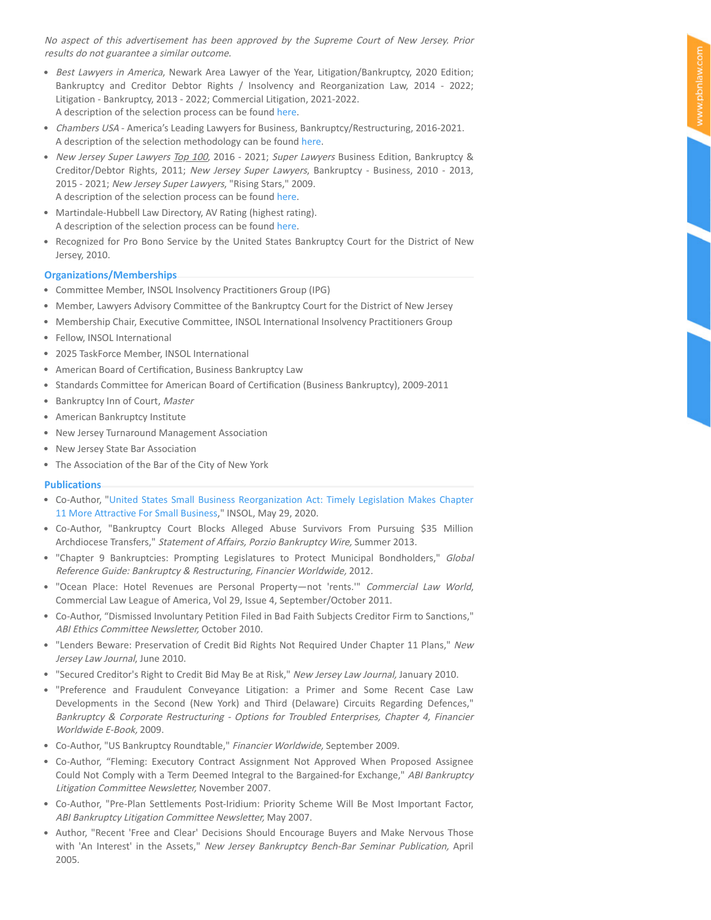No aspect of this advertisement has been approved by the Supreme Court of New Jersey. Prior results do not guarantee a similar outcome.

- Best Lawyers in America, Newark Area Lawyer of the Year, Litigation/Bankruptcy, 2020 Edition; Bankruptcy and Creditor Debtor Rights / Insolvency and Reorganization Law, 2014 - 2022; Litigation - Bankruptcy, 2013 - 2022; Commercial Litigation, 2021-2022. A description of the selection process can be found here[.](https://www.bestlawyers.com/methodology)
- Chambers USA America's Leading Lawyers for Business, Bankruptcy/Restructuring, 2016-2021. A description of the selection methodology can be found here[.](https://chambers.com/about-us/methodology)
- New Jersey Super Lawyers Top 100, 2016 2021; Super Lawyers Business Edition, Bankruptcy & Creditor/Debtor Rights, 2011; New Jersey Super Lawyers, Bankruptcy - Business, 2010 - 2013, 2015 - 2021; New Jersey Super Lawyers, "Rising Stars," 2009. A description of the selection process can be found here[.](https://www.superlawyers.com/about/selection_process.html)
- Martindale-Hubbell Law Directory, AV Rating (highest rating). A description of the selection process can be found [here](https://www.martindale.com/ratings-and-reviews/).
- Recognized for Pro Bono Service by the United States Bankruptcy Court for the District of New Jersey, 2010.

## **Organizations/Memberships**

- Committee Member, INSOL Insolvency Practitioners Group (IPG)
- **Member, Lawyers Advisory Committee of the Bankruptcy Court for the District of New Jersey**
- **Membership Chair, Executive Committee, INSOL International Insolvency Practitioners Group**
- Fellow, INSOL International
- 2025 TaskForce Member, INSOL International
- American Board of Certification, Business Bankruptcy Law
- **Standards Committee for American Board of Certification (Business Bankruptcy), 2009-2011**
- Bankruptcy Inn of Court, Master
- American Bankruptcy Institute
- New Jersey Turnaround Management Association
- New Jersey State Bar Association
- The Association of the Bar of the City of New York

## **Publications**

- Co-Author, " [United States Small Business Reorganization Act: Timely Legislation Makes Chapter](https://pbnlaw.com/media/1191231/PBN-INSOL-Article-Print.pdf) 11 More Attractive For Small Business," INSOL, May 29, 2020.
- Co-Author, "Bankruptcy Court Blocks Alleged Abuse Survivors From Pursuing \$35 Million Archdiocese Transfers," Statement of Affairs, Porzio Bankruptcy Wire, Summer 2013.
- "Chapter 9 Bankruptcies: Prompting Legislatures to Protect Municipal Bondholders," Global Reference Guide: Bankruptcy & Restructuring, Financier Worldwide, 2012.
- "Ocean Place: Hotel Revenues are Personal Property—not 'rents.'" Commercial Law World, Commercial Law League of America, Vol 29, Issue 4, September/October 2011.
- Co-Author, "Dismissed Involuntary Petition Filed in Bad Faith Subjects Creditor Firm to Sanctions," ABI Ethics Committee Newsletter, October 2010.
- "Lenders Beware: Preservation of Credit Bid Rights Not Required Under Chapter 11 Plans," New Jersey Law Journal, June 2010.
- "Secured Creditor's Right to Credit Bid May Be at Risk," New Jersey Law Journal, January 2010.
- "Preference and Fraudulent Conveyance Litigation: a Primer and Some Recent Case Law Developments in the Second (New York) and Third (Delaware) Circuits Regarding Defences," Bankruptcy & Corporate Restructuring - Options for Troubled Enterprises, Chapter 4, Financier Worldwide E-Book, 2009.
- Co-Author, "US Bankruptcy Roundtable," Financier Worldwide, September 2009.
- Co-Author, "Fleming: Executory Contract Assignment Not Approved When Proposed Assignee Could Not Comply with a Term Deemed Integral to the Bargained-for Exchange," ABI Bankruptcy Litigation Committee Newsletter, November 2007.
- Co-Author, "Pre-Plan Settlements Post-Iridium: Priority Scheme Will Be Most Important Factor, ABI Bankruptcy Litigation Committee Newsletter, May 2007.
- Author, "Recent 'Free and Clear' Decisions Should Encourage Buyers and Make Nervous Those with 'An Interest' in the Assets," New Jersey Bankruptcy Bench-Bar Seminar Publication, April 2005.